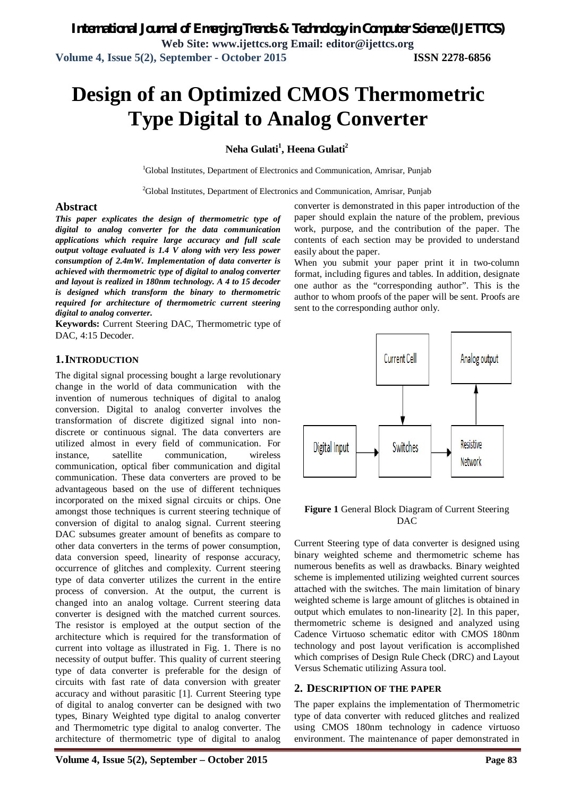# **Design of an Optimized CMOS Thermometric Type Digital to Analog Converter**

## **Neha Gulati<sup>1</sup> , Heena Gulati<sup>2</sup>**

<sup>1</sup>Global Institutes, Department of Electronics and Communication, Amrisar, Punjab

 $2$ Global Institutes, Department of Electronics and Communication, Amrisar, Punjab

#### **Abstract**

*This paper explicates the design of thermometric type of digital to analog converter for the data communication applications which require large accuracy and full scale output voltage evaluated is 1.4 V along with very less power consumption of 2.4mW. Implementation of data converter is achieved with thermometric type of digital to analog converter and layout is realized in 180nm technology. A 4 to 15 decoder is designed which transform the binary to thermometric required for architecture of thermometric current steering digital to analog converter.*

**Keywords:** Current Steering DAC, Thermometric type of DAC, 4:15 Decoder.

#### **1.INTRODUCTION**

The digital signal processing bought a large revolutionary change in the world of data communication with the invention of numerous techniques of digital to analog conversion. Digital to analog converter involves the transformation of discrete digitized signal into nondiscrete or continuous signal. The data converters are utilized almost in every field of communication. For instance, satellite communication, wireless communication, optical fiber communication and digital communication. These data converters are proved to be advantageous based on the use of different techniques incorporated on the mixed signal circuits or chips. One amongst those techniques is current steering technique of conversion of digital to analog signal. Current steering DAC subsumes greater amount of benefits as compare to other data converters in the terms of power consumption, data conversion speed, linearity of response accuracy, occurrence of glitches and complexity. Current steering type of data converter utilizes the current in the entire process of conversion. At the output, the current is changed into an analog voltage. Current steering data converter is designed with the matched current sources. The resistor is employed at the output section of the architecture which is required for the transformation of current into voltage as illustrated in Fig. 1. There is no necessity of output buffer. This quality of current steering type of data converter is preferable for the design of circuits with fast rate of data conversion with greater accuracy and without parasitic [1]. Current Steering type of digital to analog converter can be designed with two types, Binary Weighted type digital to analog converter and Thermometric type digital to analog converter. The architecture of thermometric type of digital to analog

converter is demonstrated in this paper introduction of the paper should explain the nature of the problem, previous work, purpose, and the contribution of the paper. The contents of each section may be provided to understand easily about the paper.

When you submit your paper print it in two-column format, including figures and tables. In addition, designate one author as the "corresponding author". This is the author to whom proofs of the paper will be sent. Proofs are sent to the corresponding author only.



#### **Figure 1** General Block Diagram of Current Steering DAC

Current Steering type of data converter is designed using binary weighted scheme and thermometric scheme has numerous benefits as well as drawbacks. Binary weighted scheme is implemented utilizing weighted current sources attached with the switches. The main limitation of binary weighted scheme is large amount of glitches is obtained in output which emulates to non-linearity [2]. In this paper, thermometric scheme is designed and analyzed using Cadence Virtuoso schematic editor with CMOS 180nm technology and post layout verification is accomplished which comprises of Design Rule Check (DRC) and Layout Versus Schematic utilizing Assura tool.

#### **2. DESCRIPTION OF THE PAPER**

The paper explains the implementation of Thermometric type of data converter with reduced glitches and realized using CMOS 180nm technology in cadence virtuoso environment. The maintenance of paper demonstrated in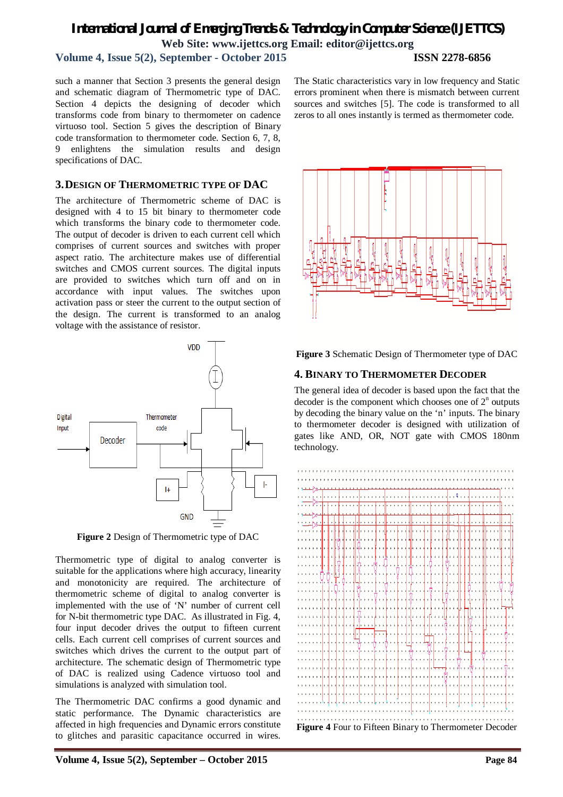## *International Journal of Emerging Trends & Technology in Computer Science (IJETTCS)* **Web Site: www.ijettcs.org Email: editor@ijettcs.org**

## **Volume 4, Issue 5(2), September - October 2015 ISSN 2278-6856**

#### such a manner that Section 3 presents the general design and schematic diagram of Thermometric type of DAC. Section 4 depicts the designing of decoder which transforms code from binary to thermometer on cadence virtuoso tool. Section 5 gives the description of Binary code transformation to thermometer code. Section 6, 7, 8, 9 enlightens the simulation results and design specifications of DAC.

#### **3.DESIGN OF THERMOMETRIC TYPE OF DAC**

The architecture of Thermometric scheme of DAC is designed with 4 to 15 bit binary to thermometer code which transforms the binary code to thermometer code. The output of decoder is driven to each current cell which comprises of current sources and switches with proper aspect ratio. The architecture makes use of differential switches and CMOS current sources. The digital inputs are provided to switches which turn off and on in accordance with input values. The switches upon activation pass or steer the current to the output section of the design. The current is transformed to an analog voltage with the assistance of resistor.



**Figure 2** Design of Thermometric type of DAC

Thermometric type of digital to analog converter is suitable for the applications where high accuracy, linearity and monotonicity are required. The architecture of thermometric scheme of digital to analog converter is implemented with the use of 'N' number of current cell for N-bit thermometric type DAC. As illustrated in Fig. 4, four input decoder drives the output to fifteen current cells. Each current cell comprises of current sources and switches which drives the current to the output part of architecture. The schematic design of Thermometric type of DAC is realized using Cadence virtuoso tool and simulations is analyzed with simulation tool.

The Thermometric DAC confirms a good dynamic and static performance. The Dynamic characteristics are affected in high frequencies and Dynamic errors constitute to glitches and parasitic capacitance occurred in wires.

The Static characteristics vary in low frequency and Static errors prominent when there is mismatch between current sources and switches [5]. The code is transformed to all zeros to all ones instantly is termed as thermometer code.



**Figure 3** Schematic Design of Thermometer type of DAC

## **4. BINARY TO THERMOMETER DECODER**

The general idea of decoder is based upon the fact that the decoder is the component which chooses one of  $2^n$  outputs by decoding the binary value on the 'n' inputs. The binary to thermometer decoder is designed with utilization of gates like AND, OR, NOT gate with CMOS 180nm technology.

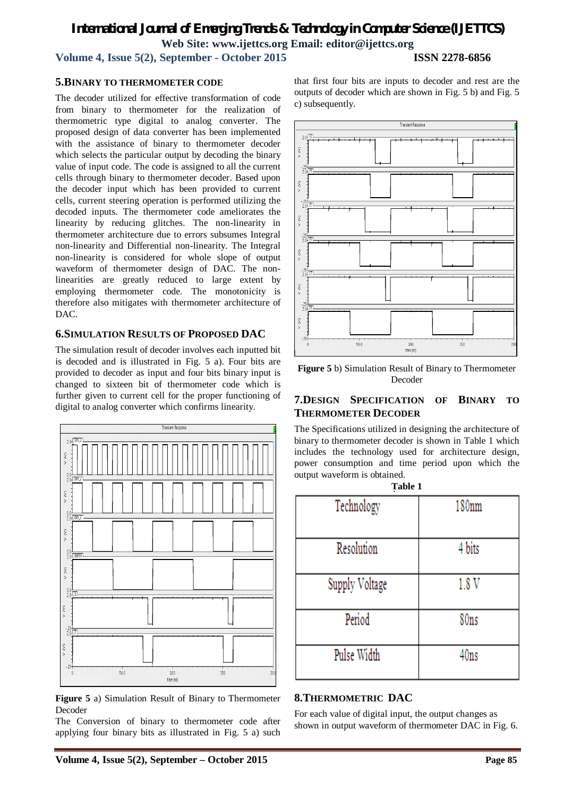## *International Journal of Emerging Trends & Technology in Computer Science (IJETTCS)* **Web Site: www.ijettcs.org Email: editor@ijettcs.org Volume 4, Issue 5(2), September - October 2015 ISSN 2278-6856**

**5.BINARY TO THERMOMETER CODE** 

#### The decoder utilized for effective transformation of code from binary to thermometer for the realization of thermometric type digital to analog converter. The proposed design of data converter has been implemented with the assistance of binary to thermometer decoder which selects the particular output by decoding the binary value of input code. The code is assigned to all the current cells through binary to thermometer decoder. Based upon the decoder input which has been provided to current cells, current steering operation is performed utilizing the decoded inputs. The thermometer code ameliorates the linearity by reducing glitches. The non-linearity in thermometer architecture due to errors subsumes Integral non-linearity and Differential non-linearity. The Integral non-linearity is considered for whole slope of output waveform of thermometer design of DAC. The nonlinearities are greatly reduced to large extent by employing thermometer code. The monotonicity is

## **6.SIMULATION RESULTS OF PROPOSED DAC**

DAC.

therefore also mitigates with thermometer architecture of

The simulation result of decoder involves each inputted bit is decoded and is illustrated in Fig. 5 a). Four bits are provided to decoder as input and four bits binary input is changed to sixteen bit of thermometer code which is further given to current cell for the proper functioning of digital to analog converter which confirms linearity.



**Figure 5** a) Simulation Result of Binary to Thermometer Decoder

The Conversion of binary to thermometer code after applying four binary bits as illustrated in Fig. 5 a) such that first four bits are inputs to decoder and rest are the outputs of decoder which are shown in Fig. 5 b) and Fig. 5 c) subsequently.



**Figure 5** b) Simulation Result of Binary to Thermometer Decoder

## **7.DESIGN SPECIFICATION OF BINARY TO THERMOMETER DECODER**

The Specifications utilized in designing the architecture of binary to thermometer decoder is shown in Table 1 which includes the technology used for architecture design, power consumption and time period upon which the output waveform is obtained.

| Table 1        |        |
|----------------|--------|
| Technology     | 180nm  |
| Resolution     | 4 bits |
| Supply Voltage | 1.8 V  |
| Period         | 80ns   |
| Pulse Width    | 40ns   |

## **8.THERMOMETRIC DAC**

For each value of digital input, the output changes as shown in output waveform of thermometer DAC in Fig. 6.